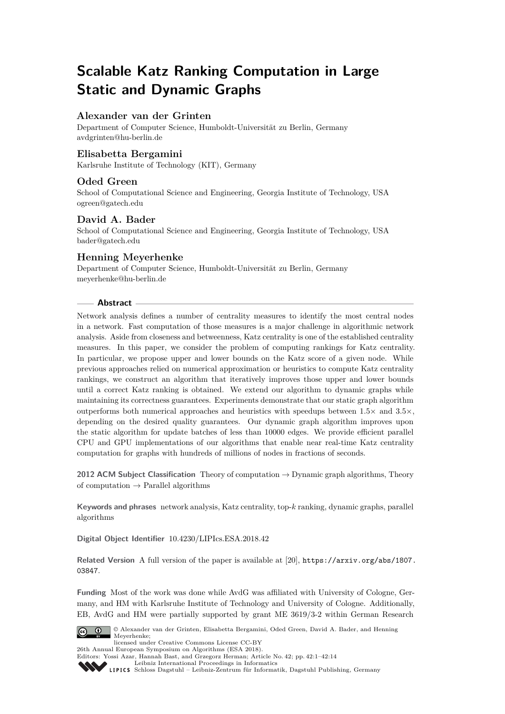# **Scalable Katz Ranking Computation in Large Static and Dynamic Graphs**

# **Alexander van der Grinten**

Department of Computer Science, Humboldt-Universität zu Berlin, Germany [avdgrinten@hu-berlin.de](mailto:avdgrinten@hu-berlin.de)

# **Elisabetta Bergamini**

Karlsruhe Institute of Technology (KIT), Germany

# **Oded Green**

School of Computational Science and Engineering, Georgia Institute of Technology, USA [ogreen@gatech.edu](mailto:ogreen@gatech.edu)

# **David A. Bader**

School of Computational Science and Engineering, Georgia Institute of Technology, USA [bader@gatech.edu](mailto:bader@gatech.edu)

# **Henning Meyerhenke**

Department of Computer Science, Humboldt-Universität zu Berlin, Germany [meyerhenke@hu-berlin.de](mailto:meyerhenke@hu-berlin.de)

# **Abstract**

Network analysis defines a number of centrality measures to identify the most central nodes in a network. Fast computation of those measures is a major challenge in algorithmic network analysis. Aside from closeness and betweenness, Katz centrality is one of the established centrality measures. In this paper, we consider the problem of computing rankings for Katz centrality. In particular, we propose upper and lower bounds on the Katz score of a given node. While previous approaches relied on numerical approximation or heuristics to compute Katz centrality rankings, we construct an algorithm that iteratively improves those upper and lower bounds until a correct Katz ranking is obtained. We extend our algorithm to dynamic graphs while maintaining its correctness guarantees. Experiments demonstrate that our static graph algorithm outperforms both numerical approaches and heuristics with speedups between 1*.*5× and 3*.*5×, depending on the desired quality guarantees. Our dynamic graph algorithm improves upon the static algorithm for update batches of less than 10000 edges. We provide efficient parallel CPU and GPU implementations of our algorithms that enable near real-time Katz centrality computation for graphs with hundreds of millions of nodes in fractions of seconds.

**2012 ACM Subject Classification** Theory of computation → Dynamic graph algorithms, Theory of computation  $\rightarrow$  Parallel algorithms

**Keywords and phrases** network analysis, Katz centrality, top-*k* ranking, dynamic graphs, parallel algorithms

**Digital Object Identifier** [10.4230/LIPIcs.ESA.2018.42](http://dx.doi.org/10.4230/LIPIcs.ESA.2018.42)

**Related Version** A full version of the paper is available at [\[20\]](#page-13-0), [https://arxiv.org/abs/1807.](https://arxiv.org/abs/1807.03847) [03847](https://arxiv.org/abs/1807.03847).

**Funding** Most of the work was done while AvdG was affiliated with University of Cologne, Germany, and HM with Karlsruhe Institute of Technology and University of Cologne. Additionally, EB, AvdG and HM were partially supported by grant ME 3619/3-2 within German Research



© Alexander van der Grinten, Elisabetta Bergamini, Oded Green, David A. Bader, and Henning Meyerhenke;

licensed under Creative Commons License CC-BY 26th Annual European Symposium on Algorithms (ESA 2018).

Editors: Yossi Azar, Hannah Bast, and Grzegorz Herman; Article No. 42; pp. 42:1–42[:14](#page-13-1)

[Leibniz International Proceedings in Informatics](http://www.dagstuhl.de/lipics/) [Schloss Dagstuhl – Leibniz-Zentrum für Informatik, Dagstuhl Publishing, Germany](http://www.dagstuhl.de)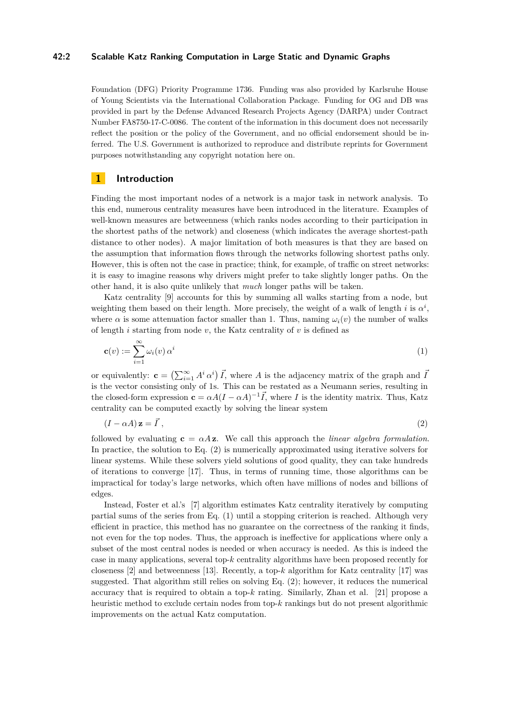### **42:2 Scalable Katz Ranking Computation in Large Static and Dynamic Graphs**

Foundation (DFG) Priority Programme 1736. Funding was also provided by Karlsruhe House of Young Scientists via the International Collaboration Package. Funding for OG and DB was provided in part by the Defense Advanced Research Projects Agency (DARPA) under Contract Number FA8750-17-C-0086. The content of the information in this document does not necessarily reflect the position or the policy of the Government, and no official endorsement should be inferred. The U.S. Government is authorized to reproduce and distribute reprints for Government purposes notwithstanding any copyright notation here on.

# **1 Introduction**

Finding the most important nodes of a network is a major task in network analysis. To this end, numerous centrality measures have been introduced in the literature. Examples of well-known measures are betweenness (which ranks nodes according to their participation in the shortest paths of the network) and closeness (which indicates the average shortest-path distance to other nodes). A major limitation of both measures is that they are based on the assumption that information flows through the networks following shortest paths only. However, this is often not the case in practice; think, for example, of traffic on street networks: it is easy to imagine reasons why drivers might prefer to take slightly longer paths. On the other hand, it is also quite unlikely that *much* longer paths will be taken.

Katz centrality [\[9\]](#page-12-0) accounts for this by summing all walks starting from a node, but weighting them based on their length. More precisely, the weight of a walk of length *i* is  $\alpha^i$ , where  $\alpha$  is some attenuation factor smaller than 1. Thus, naming  $\omega_i(v)$  the number of walks of length *i* starting from node *v*, the Katz centrality of *v* is defined as

<span id="page-1-1"></span>
$$
\mathbf{c}(v) := \sum_{i=1}^{\infty} \omega_i(v) \, \alpha^i \tag{1}
$$

or equivalently:  $\mathbf{c} = \left( \sum_{i=1}^{\infty} A^i \alpha^i \right) \vec{I}$ , where *A* is the adjacency matrix of the graph and  $\vec{I}$ is the vector consisting only of 1s. This can be restated as a Neumann series, resulting in the closed-form expression  $\mathbf{c} = \alpha A (I - \alpha A)^{-1} \vec{I}$ , where *I* is the identity matrix. Thus, Katz centrality can be computed exactly by solving the linear system

<span id="page-1-0"></span>
$$
(I - \alpha A) \mathbf{z} = \vec{I},\tag{2}
$$

followed by evaluating  $c = \alpha Az$ . We call this approach the *linear algebra formulation*. In practice, the solution to Eq. [\(2\)](#page-1-0) is numerically approximated using iterative solvers for linear systems. While these solvers yield solutions of good quality, they can take hundreds of iterations to converge [\[17\]](#page-13-2). Thus, in terms of running time, those algorithms can be impractical for today's large networks, which often have millions of nodes and billions of edges.

Instead, Foster et al.'s [\[7\]](#page-12-1) algorithm estimates Katz centrality iteratively by computing partial sums of the series from Eq. [\(1\)](#page-1-1) until a stopping criterion is reached. Although very efficient in practice, this method has no guarantee on the correctness of the ranking it finds, not even for the top nodes. Thus, the approach is ineffective for applications where only a subset of the most central nodes is needed or when accuracy is needed. As this is indeed the case in many applications, several top-*k* centrality algorithms have been proposed recently for closeness  $[2]$  and betweenness  $[13]$ . Recently, a top- $k$  algorithm for Katz centrality  $[17]$  was suggested. That algorithm still relies on solving Eq. [\(2\)](#page-1-0); however, it reduces the numerical accuracy that is required to obtain a top-*k* rating. Similarly, Zhan et al. [\[21\]](#page-13-3) propose a heuristic method to exclude certain nodes from top-*k* rankings but do not present algorithmic improvements on the actual Katz computation.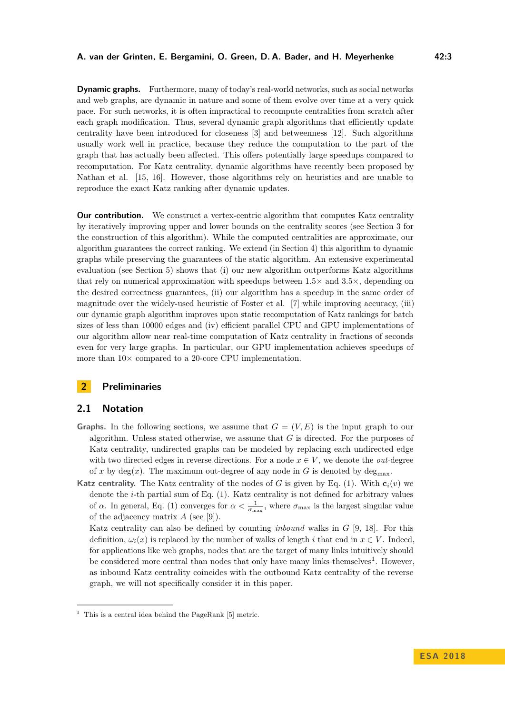**Dynamic graphs.** Furthermore, many of today's real-world networks, such as social networks and web graphs, are dynamic in nature and some of them evolve over time at a very quick pace. For such networks, it is often impractical to recompute centralities from scratch after each graph modification. Thus, several dynamic graph algorithms that efficiently update centrality have been introduced for closeness [\[3\]](#page-12-4) and betweenness [\[12\]](#page-12-5). Such algorithms usually work well in practice, because they reduce the computation to the part of the graph that has actually been affected. This offers potentially large speedups compared to recomputation. For Katz centrality, dynamic algorithms have recently been proposed by Nathan et al. [\[15,](#page-12-6) [16\]](#page-13-4). However, those algorithms rely on heuristics and are unable to reproduce the exact Katz ranking after dynamic updates.

**Our contribution.** We construct a vertex-centric algorithm that computes Katz centrality by iteratively improving upper and lower bounds on the centrality scores (see Section [3](#page-3-0) for the construction of this algorithm). While the computed centralities are approximate, our algorithm guarantees the correct ranking. We extend (in Section [4\)](#page-6-0) this algorithm to dynamic graphs while preserving the guarantees of the static algorithm. An extensive experimental evaluation (see Section [5\)](#page-8-0) shows that (i) our new algorithm outperforms Katz algorithms that rely on numerical approximation with speedups between  $1.5\times$  and  $3.5\times$ , depending on the desired correctness guarantees, (ii) our algorithm has a speedup in the same order of magnitude over the widely-used heuristic of Foster et al. [\[7\]](#page-12-1) while improving accuracy, (iii) our dynamic graph algorithm improves upon static recomputation of Katz rankings for batch sizes of less than 10000 edges and (iv) efficient parallel CPU and GPU implementations of our algorithm allow near real-time computation of Katz centrality in fractions of seconds even for very large graphs. In particular, our GPU implementation achieves speedups of more than  $10\times$  compared to a 20-core CPU implementation.

# **2 Preliminaries**

### **2.1 Notation**

- **Graphs.** In the following sections, we assume that  $G = (V, E)$  is the input graph to our algorithm. Unless stated otherwise, we assume that *G* is directed. For the purposes of Katz centrality, undirected graphs can be modeled by replacing each undirected edge with two directed edges in reverse directions. For a node  $x \in V$ , we denote the *out-*degree of x by  $deg(x)$ . The maximum out-degree of any node in G is denoted by  $deg_{\text{max}}$ .
- **Katz centrality.** The Katz centrality of the nodes of *G* is given by Eq. [\(1\)](#page-1-1). With  $\mathbf{c}_i(v)$  we denote the *i*-th partial sum of Eq. [\(1\)](#page-1-1). Katz centrality is not defined for arbitrary values of *α*. In general, Eq. [\(1\)](#page-1-1) converges for  $\alpha < \frac{1}{\sigma_{\max}}$ , where  $\sigma_{\max}$  is the largest singular value of the adjacency matrix *A* (see [\[9\]](#page-12-0)).

Katz centrality can also be defined by counting *inbound* walks in *G* [\[9,](#page-12-0) [18\]](#page-13-5). For this definition,  $\omega_i(x)$  is replaced by the number of walks of length *i* that end in  $x \in V$ . Indeed, for applications like web graphs, nodes that are the target of many links intuitively should be considered more central than nodes that only have many links themselves<sup>[1](#page-2-0)</sup>. However, as inbound Katz centrality coincides with the outbound Katz centrality of the reverse graph, we will not specifically consider it in this paper.

<span id="page-2-0"></span><sup>&</sup>lt;sup>1</sup> This is a central idea behind the PageRank [\[5\]](#page-12-7) metric.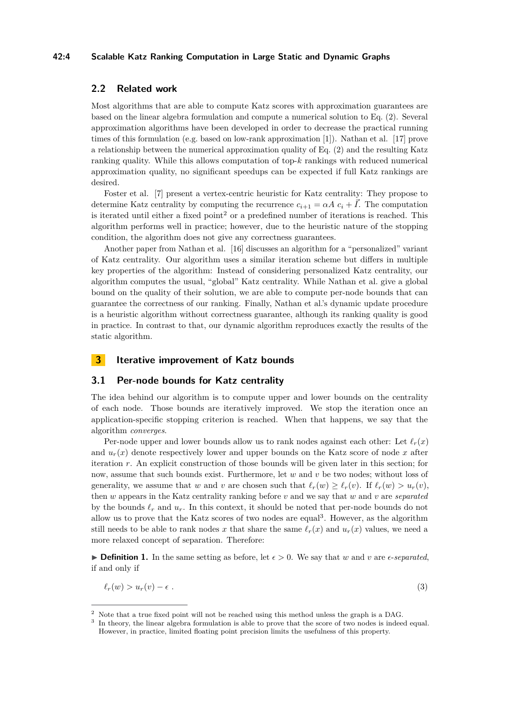#### **42:4 Scalable Katz Ranking Computation in Large Static and Dynamic Graphs**

# **2.2 Related work**

Most algorithms that are able to compute Katz scores with approximation guarantees are based on the linear algebra formulation and compute a numerical solution to Eq. [\(2\)](#page-1-0). Several approximation algorithms have been developed in order to decrease the practical running times of this formulation (e.g. based on low-rank approximation [\[1\]](#page-12-8)). Nathan et al. [\[17\]](#page-13-2) prove a relationship between the numerical approximation quality of Eq. [\(2\)](#page-1-0) and the resulting Katz ranking quality. While this allows computation of top-*k* rankings with reduced numerical approximation quality, no significant speedups can be expected if full Katz rankings are desired.

Foster et al. [\[7\]](#page-12-1) present a vertex-centric heuristic for Katz centrality: They propose to determine Katz centrality by computing the recurrence  $c_{i+1} = \alpha A c_i + \overline{I}$ . The computation is iterated until either a fixed point<sup>[2](#page-3-1)</sup> or a predefined number of iterations is reached. This algorithm performs well in practice; however, due to the heuristic nature of the stopping condition, the algorithm does not give any correctness guarantees.

Another paper from Nathan et al. [\[16\]](#page-13-4) discusses an algorithm for a "personalized" variant of Katz centrality. Our algorithm uses a similar iteration scheme but differs in multiple key properties of the algorithm: Instead of considering personalized Katz centrality, our algorithm computes the usual, "global" Katz centrality. While Nathan et al. give a global bound on the quality of their solution, we are able to compute per-node bounds that can guarantee the correctness of our ranking. Finally, Nathan et al.'s dynamic update procedure is a heuristic algorithm without correctness guarantee, although its ranking quality is good in practice. In contrast to that, our dynamic algorithm reproduces exactly the results of the static algorithm.

# <span id="page-3-0"></span>**3 Iterative improvement of Katz bounds**

### **3.1 Per-node bounds for Katz centrality**

The idea behind our algorithm is to compute upper and lower bounds on the centrality of each node. Those bounds are iteratively improved. We stop the iteration once an application-specific stopping criterion is reached. When that happens, we say that the algorithm *converges*.

Per-node upper and lower bounds allow us to rank nodes against each other: Let  $\ell_r(x)$ and  $u_r(x)$  denote respectively lower and upper bounds on the Katz score of node x after iteration *r*. An explicit construction of those bounds will be given later in this section; for now, assume that such bounds exist. Furthermore, let *w* and *v* be two nodes; without loss of generality, we assume that *w* and *v* are chosen such that  $\ell_r(w) \geq \ell_r(v)$ . If  $\ell_r(w) > u_r(v)$ , then *w* appears in the Katz centrality ranking before *v* and we say that *w* and *v* are *separated* by the bounds  $\ell_r$  and  $u_r$ . In this context, it should be noted that per-node bounds do not allow us to prove that the Katz scores of two nodes are equal<sup>[3](#page-3-2)</sup>. However, as the algorithm still needs to be able to rank nodes x that share the same  $\ell_r(x)$  and  $u_r(x)$  values, we need a more relaxed concept of separation. Therefore:

**Definition 1.** In the same setting as before, let  $\epsilon > 0$ . We say that *w* and *v* are  $\epsilon$ -*separated*, if and only if

<span id="page-3-3"></span>
$$
\ell_r(w) > u_r(v) - \epsilon \tag{3}
$$

<span id="page-3-1"></span><sup>2</sup> Note that a true fixed point will not be reached using this method unless the graph is a DAG.

<span id="page-3-2"></span><sup>3</sup> In theory, the linear algebra formulation is able to prove that the score of two nodes is indeed equal. However, in practice, limited floating point precision limits the usefulness of this property.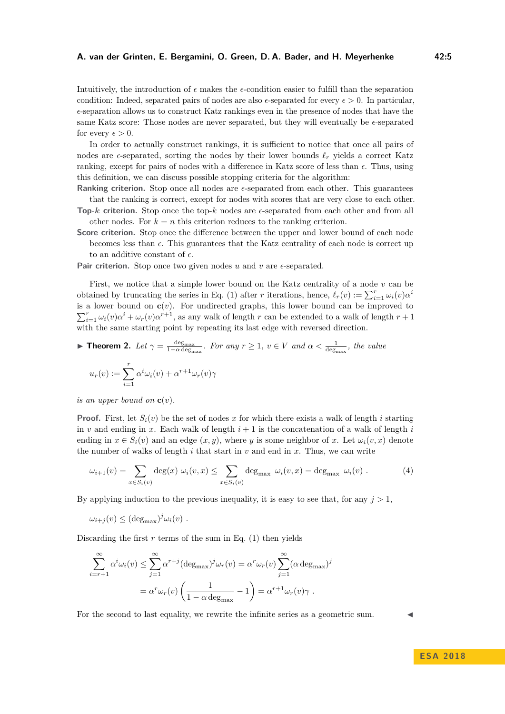Intuitively, the introduction of  $\epsilon$  makes the  $\epsilon$ -condition easier to fulfill than the separation condition: Indeed, separated pairs of nodes are also  $\epsilon$ -separated for every  $\epsilon > 0$ . In particular,  $\epsilon$ -separation allows us to construct Katz rankings even in the presence of nodes that have the same Katz score: Those nodes are never separated, but they will eventually be  $\epsilon$ -separated for every  $\epsilon > 0$ .

In order to actually construct rankings, it is sufficient to notice that once all pairs of nodes are  $\epsilon$ -separated, sorting the nodes by their lower bounds  $\ell_r$  yields a correct Katz ranking, except for pairs of nodes with a difference in Katz score of less than  $\epsilon$ . Thus, using this definition, we can discuss possible stopping criteria for the algorithm:

**Ranking criterion.** Stop once all nodes are  $\epsilon$ -separated from each other. This guarantees that the ranking is correct, except for nodes with scores that are very close to each other.

- **Top-***k* **criterion.** Stop once the top-*k* nodes are  $\epsilon$ -separated from each other and from all other nodes. For  $k = n$  this criterion reduces to the ranking criterion.
- **Score criterion.** Stop once the difference between the upper and lower bound of each node becomes less than  $\epsilon$ . This guarantees that the Katz centrality of each node is correct up to an additive constant of  $\epsilon$ .

Pair criterion. Stop once two given nodes  $u$  and  $v$  are  $\epsilon$ -separated.

First, we notice that a simple lower bound on the Katz centrality of a node *v* can be obtained by truncating the series in Eq. [\(1\)](#page-1-1) after *r* iterations, hence,  $\ell_r(v) := \sum_{i=1}^r \omega_i(v) \alpha^i$ is a lower bound on  $c(v)$ . For undirected graphs, this lower bound can be improved to  $\sum_{i=1}^{r} \omega_i(v) \alpha^i + \omega_r(v) \alpha^{r+1}$ , as any walk of length *r* can be extended to a walk of length  $r+1$ with the same starting point by repeating its last edge with reversed direction.

<span id="page-4-0"></span>
$$
\blacktriangleright \text{ Theorem 2. } Let \ \gamma = \frac{\deg_{\max}}{1 - \alpha \deg_{\max}}. \ \text{For any } r \ge 1, \ v \in V \ \text{and } \alpha < \frac{1}{\deg_{\max}}, \ \text{the value}
$$
\n
$$
u_r(v) := \sum_{i=1}^r \alpha^i \omega_i(v) + \alpha^{r+1} \omega_r(v) \gamma
$$

*is an upper bound on*  $\mathbf{c}(v)$ *.* 

*i*=1

**Proof.** First, let  $S_i(v)$  be the set of nodes x for which there exists a walk of length i starting in *v* and ending in *x*. Each walk of length  $i + 1$  is the concatenation of a walk of length  $i$ ending in  $x \in S_i(v)$  and an edge  $(x, y)$ , where *y* is some neighbor of *x*. Let  $\omega_i(v, x)$  denote the number of walks of length  $i$  that start in  $v$  and end in  $x$ . Thus, we can write

$$
\omega_{i+1}(v) = \sum_{x \in S_i(v)} \deg(x) \omega_i(v, x) \le \sum_{x \in S_i(v)} \deg_{\max} \omega_i(v, x) = \deg_{\max} \omega_i(v) . \tag{4}
$$

By applying induction to the previous inequality, it is easy to see that, for any  $j > 1$ ,

$$
\omega_{i+j}(v) \leq (\text{deg}_{\text{max}})^j \omega_i(v) .
$$

Discarding the first  $r$  terms of the sum in Eq.  $(1)$  then yields

$$
\sum_{i=r+1}^{\infty} \alpha^i \omega_i(v) \leq \sum_{j=1}^{\infty} \alpha^{r+j} (\deg_{\max})^j \omega_r(v) = \alpha^r \omega_r(v) \sum_{j=1}^{\infty} (\alpha \deg_{\max})^j
$$

$$
= \alpha^r \omega_r(v) \left( \frac{1}{1 - \alpha \deg_{\max}} - 1 \right) = \alpha^{r+1} \omega_r(v) \gamma.
$$

For the second to last equality, we rewrite the infinite series as a geometric sum.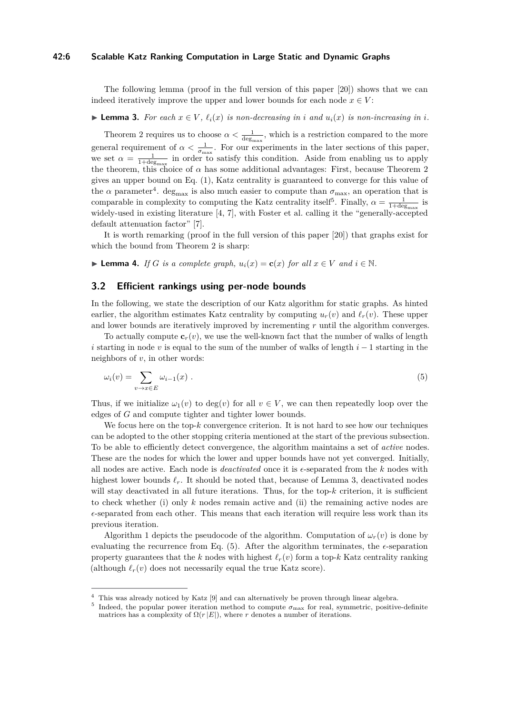#### **42:6 Scalable Katz Ranking Computation in Large Static and Dynamic Graphs**

The following lemma (proof in the full version of this paper [\[20\]](#page-13-0)) shows that we can indeed iteratively improve the upper and lower bounds for each node  $x \in V$ :

# <span id="page-5-2"></span>► **Lemma 3.** For each  $x \in V$ ,  $\ell_i(x)$  is non-decreasing in *i* and  $u_i(x)$  is non-increasing in *i*.

Theorem [2](#page-4-0) requires us to choose  $\alpha < \frac{1}{\deg_{\max}}$ , which is a restriction compared to the more general requirement of  $\alpha < \frac{1}{\sigma_{\max}}$ . For our experiments in the later sections of this paper, we set  $\alpha = \frac{1}{1+\deg_{\max}}$  in order to satisfy this condition. Aside from enabling us to apply the theorem, this choice of  $\alpha$  has some additional advantages: First, because Theorem [2](#page-4-0) gives an upper bound on Eq. [\(1\)](#page-1-1), Katz centrality is guaranteed to converge for this value of the  $\alpha$  parameter<sup>[4](#page-5-0)</sup>. deg<sub>max</sub> is also much easier to compute than  $\sigma_{\text{max}}$ , an operation that is comparable in complexity to computing the Katz centrality itself<sup>[5](#page-5-1)</sup>. Finally,  $\alpha = \frac{1}{1 + \deg_{\max}}$  is widely-used in existing literature [\[4,](#page-12-9) [7\]](#page-12-1), with Foster et al. calling it the "generally-accepted default attenuation factor" [\[7\]](#page-12-1).

It is worth remarking (proof in the full version of this paper [\[20\]](#page-13-0)) that graphs exist for which the bound from Theorem [2](#page-4-0) is sharp:

▶ **Lemma 4.** *If G is a complete graph,*  $u_i(x) = c(x)$  *for all*  $x \in V$  *and*  $i \in \mathbb{N}$ .

### **3.2 Efficient rankings using per-node bounds**

In the following, we state the description of our Katz algorithm for static graphs. As hinted earlier, the algorithm estimates Katz centrality by computing  $u_r(v)$  and  $\ell_r(v)$ . These upper and lower bounds are iteratively improved by incrementing *r* until the algorithm converges.

To actually compute  $\mathbf{c}_r(v)$ , we use the well-known fact that the number of walks of length *i* starting in node *v* is equal to the sum of the number of walks of length *i* − 1 starting in the neighbors of *v*, in other words:

<span id="page-5-3"></span>
$$
\omega_i(v) = \sum_{v \to x \in E} \omega_{i-1}(x) \tag{5}
$$

Thus, if we initialize  $\omega_1(v)$  to deg(*v*) for all  $v \in V$ , we can then repeatedly loop over the edges of *G* and compute tighter and tighter lower bounds.

We focus here on the top- $k$  convergence criterion. It is not hard to see how our techniques can be adopted to the other stopping criteria mentioned at the start of the previous subsection. To be able to efficiently detect convergence, the algorithm maintains a set of *active* nodes. These are the nodes for which the lower and upper bounds have not yet converged. Initially, all nodes are active. Each node is *deactivated* once it is  $\epsilon$ -separated from the *k* nodes with highest lower bounds  $\ell_r$ . It should be noted that, because of Lemma [3,](#page-5-2) deactivated nodes will stay deactivated in all future iterations. Thus, for the top- $k$  criterion, it is sufficient to check whether (i) only *k* nodes remain active and (ii) the remaining active nodes are  $\epsilon$ -separated from each other. This means that each iteration will require less work than its previous iteration.

Algorithm [1](#page-6-1) depicts the pseudocode of the algorithm. Computation of  $\omega_r(v)$  is done by evaluating the recurrence from Eq.  $(5)$ . After the algorithm terminates, the  $\epsilon$ -separation property guarantees that the *k* nodes with highest  $\ell_r(v)$  form a top-*k* Katz centrality ranking (although  $\ell_r(v)$  does not necessarily equal the true Katz score).

<span id="page-5-0"></span><sup>4</sup> This was already noticed by Katz [\[9\]](#page-12-0) and can alternatively be proven through linear algebra.

<span id="page-5-1"></span><sup>&</sup>lt;sup>5</sup> Indeed, the popular power iteration method to compute  $\sigma_{\text{max}}$  for real, symmetric, positive-definite matrices has a complexity of  $\Omega(r|E|)$ , where *r* denotes a number of iterations.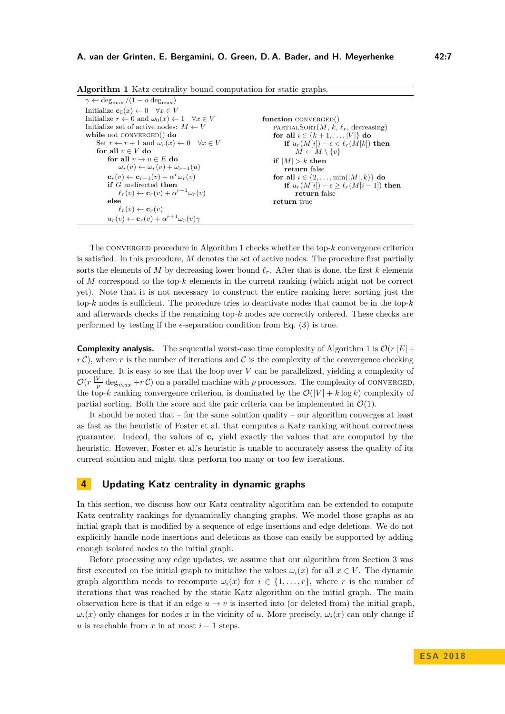<span id="page-6-1"></span>

| <b>Algorithm 1</b> Katz centrality bound computation for static graphs.           |                                                    |  |  |  |  |  |  |
|-----------------------------------------------------------------------------------|----------------------------------------------------|--|--|--|--|--|--|
| $\gamma \leftarrow \text{deg}_{\text{max}}/(1 - \alpha \text{ deg}_{\text{max}})$ |                                                    |  |  |  |  |  |  |
| Initialize $\mathbf{c}_0(x) \leftarrow 0 \quad \forall x \in V$                   |                                                    |  |  |  |  |  |  |
| Initialize $r \leftarrow 0$ and $\omega_0(x) \leftarrow 1 \quad \forall x \in V$  | function $CONVERGED()$                             |  |  |  |  |  |  |
| Initialize set of active nodes: $M \leftarrow V$                                  | PARTIALSORT $(M, k, \ell_r,$ decreasing)           |  |  |  |  |  |  |
| while not CONVERGED $()$ do                                                       | for all $i \in \{k+1, ,  V \}$ do                  |  |  |  |  |  |  |
| Set $r \leftarrow r + 1$ and $\omega_r(x) \leftarrow 0 \quad \forall x \in V$     | if $u_r(M[i]) - \epsilon < \ell_r(M[k])$ then      |  |  |  |  |  |  |
| for all $v \in V$ do                                                              | $M \leftarrow M \setminus \{v\}$                   |  |  |  |  |  |  |
| for all $v \to u \in E$ do                                                        | if $ M  > k$ then                                  |  |  |  |  |  |  |
| $\omega_r(v) \leftarrow \omega_r(v) + \omega_{r-1}(u)$                            | return false                                       |  |  |  |  |  |  |
| $\mathbf{c}_r(v) \leftarrow \mathbf{c}_{r-1}(v) + \alpha^r \omega_r(v)$           | for all $i \in \{2, \ldots, \min( M , k)\}\$ do    |  |  |  |  |  |  |
| if $G$ undirected then                                                            | if $u_r(M[i]) - \epsilon \geq \ell_r(M[i-1])$ then |  |  |  |  |  |  |
| $\ell_r(v) \leftarrow \mathbf{c}_r(v) + \alpha^{r+1} \omega_r(v)$                 | return false                                       |  |  |  |  |  |  |
| else                                                                              | return true                                        |  |  |  |  |  |  |
| $\ell_r(v) \leftarrow \mathbf{c}_r(v)$                                            |                                                    |  |  |  |  |  |  |
| $u_r(v) \leftarrow \mathbf{c}_r(v) + \alpha^{r+1} \omega_r(v) \gamma$             |                                                    |  |  |  |  |  |  |

The converged procedure in Algorithm [1](#page-6-1) checks whether the top-*k* convergence criterion is satisfied. In this procedure, *M* denotes the set of active nodes. The procedure first partially sorts the elements of M by decreasing lower bound  $\ell_r$ . After that is done, the first k elements of *M* correspond to the top-*k* elements in the current ranking (which might not be correct yet). Note that it is not necessary to construct the entire ranking here; sorting just the top- $k$  nodes is sufficient. The procedure tries to deactivate nodes that cannot be in the top- $k$ and afterwards checks if the remaining top- $k$  nodes are correctly ordered. These checks are performed by testing if the  $\epsilon$ -separation condition from Eq. [\(3\)](#page-3-3) is true.

**Complexity analysis.** The sequential worst-case time complexity of Algorithm [1](#page-6-1) is  $\mathcal{O}(r|E| +$  $r \mathcal{C}$ ), where *r* is the number of iterations and  $\mathcal{C}$  is the complexity of the convergence checking procedure. It is easy to see that the loop over *V* can be parallelized, yielding a complexity of  $\mathcal{O}(r\frac{|V|}{n})$  $\frac{V}{p}$  deg<sub>max</sub> +*r* C) on a parallel machine with *p* processors. The complexity of CONVERGED, the top-*k* ranking convergence criterion, is dominated by the  $\mathcal{O}(|V| + k \log k)$  complexity of partial sorting. Both the score and the pair criteria can be implemented in  $\mathcal{O}(1)$ .

It should be noted that – for the same solution quality – our algorithm converges at least as fast as the heuristic of Foster et al. that computes a Katz ranking without correctness guarantee. Indeed, the values of **c***<sup>r</sup>* yield exactly the values that are computed by the heuristic. However, Foster et al.'s heuristic is unable to accurately assess the quality of its current solution and might thus perform too many or too few iterations.

# <span id="page-6-0"></span>**4 Updating Katz centrality in dynamic graphs**

In this section, we discuss how our Katz centrality algorithm can be extended to compute Katz centrality rankings for dynamically changing graphs. We model those graphs as an initial graph that is modified by a sequence of edge insertions and edge deletions. We do not explicitly handle node insertions and deletions as those can easily be supported by adding enough isolated nodes to the initial graph.

Before processing any edge updates, we assume that our algorithm from Section [3](#page-3-0) was first executed on the initial graph to initialize the values  $\omega_i(x)$  for all  $x \in V$ . The dynamic graph algorithm needs to recompute  $\omega_i(x)$  for  $i \in \{1, \ldots, r\}$ , where r is the number of iterations that was reached by the static Katz algorithm on the initial graph. The main observation here is that if an edge  $u \to v$  is inserted into (or deleted from) the initial graph,  $\omega_i(x)$  only changes for nodes *x* in the vicinity of *u*. More precisely,  $\omega_i(x)$  can only change if *u* is reachable from *x* in at most  $i - 1$  steps.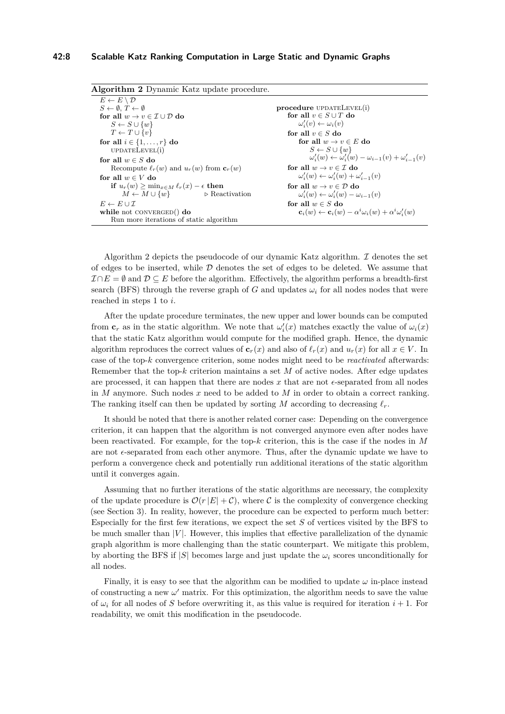### **42:8 Scalable Katz Ranking Computation in Large Static and Dynamic Graphs**

<span id="page-7-0"></span>

| <b>Algorithm 2</b> Dynamic Katz update procedure.             |                                                                                             |
|---------------------------------------------------------------|---------------------------------------------------------------------------------------------|
| $E \leftarrow E \setminus \mathcal{D}$                        |                                                                                             |
| $S \leftarrow \emptyset$ , $T \leftarrow \emptyset$           | $procedure$ UPDATELEVEL $(i)$                                                               |
| for all $w \rightarrow v \in \mathcal{I} \cup \mathcal{D}$ do | for all $v \in S \cup T$ do                                                                 |
| $S \leftarrow S \cup \{w\}$                                   | $\omega'_i(v) \leftarrow \omega_i(v)$                                                       |
| $T \leftarrow T \cup \{v\}$                                   | for all $v \in S$ do                                                                        |
| for all $i \in \{1, \ldots, r\}$ do                           | for all $w \rightarrow v \in E$ do                                                          |
| UPDATELEVEL(i)                                                | $S \leftarrow S \cup \{w\}$                                                                 |
| for all $w \in S$ do                                          | $\omega'_{i}(w) \leftarrow \omega'_{i}(w) - \omega_{i-1}(v) + \omega'_{i-1}(v)$             |
| Recompute $\ell_r(w)$ and $u_r(w)$ from $\mathbf{c}_r(w)$     | for all $w \rightarrow v \in \mathcal{I}$ do                                                |
| for all $w \in V$ do                                          | $\omega'_i(w) \leftarrow \omega'_i(w) + \omega'_{i-1}(v)$                                   |
| if $u_r(w) > \min_{x \in M} \ell_r(x) - \epsilon$ then        | for all $w \rightarrow v \in \mathcal{D}$ do                                                |
| $M \leftarrow M \cup \{w\}$<br>$\triangleright$ Reactivation  | $\omega'_i(w) \leftarrow \omega'_i(w) - \omega_{i-1}(v)$                                    |
| $E \leftarrow E \cup \mathcal{I}$                             | for all $w \in S$ do                                                                        |
| while not CONVERGED $()$ do                                   | $\mathbf{c}_i(w) \leftarrow \mathbf{c}_i(w) - \alpha^i \omega_i(w) + \alpha^i \omega'_i(w)$ |
| Run more iterations of static algorithm                       |                                                                                             |

Algorithm [2](#page-7-0) depicts the pseudocode of our dynamic Katz algorithm.  $\mathcal I$  denotes the set of edges to be inserted, while  $\mathcal D$  denotes the set of edges to be deleted. We assume that  $\mathcal{I} \cap E = \emptyset$  and  $\mathcal{D} \subseteq E$  before the algorithm. Effectively, the algorithm performs a breadth-first search (BFS) through the reverse graph of *G* and updates  $\omega_i$  for all nodes nodes that were reached in steps 1 to *i*.

After the update procedure terminates, the new upper and lower bounds can be computed from  $\mathbf{c}_r$  as in the static algorithm. We note that  $\omega'_i(x)$  matches exactly the value of  $\omega_i(x)$ that the static Katz algorithm would compute for the modified graph. Hence, the dynamic algorithm reproduces the correct values of  $\mathbf{c}_r(x)$  and also of  $\ell_r(x)$  and  $u_r(x)$  for all  $x \in V$ . In case of the top-*k* convergence criterion, some nodes might need to be *reactivated* afterwards: Remember that the top-*k* criterion maintains a set *M* of active nodes. After edge updates are processed, it can happen that there are nodes x that are not  $\epsilon$ -separated from all nodes in *M* anymore. Such nodes *x* need to be added to *M* in order to obtain a correct ranking. The ranking itself can then be updated by sorting *M* according to decreasing  $\ell_r$ .

It should be noted that there is another related corner case: Depending on the convergence criterion, it can happen that the algorithm is not converged anymore even after nodes have been reactivated. For example, for the top-*k* criterion, this is the case if the nodes in *M* are not  $\epsilon$ -separated from each other anymore. Thus, after the dynamic update we have to perform a convergence check and potentially run additional iterations of the static algorithm until it converges again.

Assuming that no further iterations of the static algorithms are necessary, the complexity of the update procedure is  $\mathcal{O}(r|E| + \mathcal{C})$ , where C is the complexity of convergence checking (see Section [3\)](#page-3-0). In reality, however, the procedure can be expected to perform much better: Especially for the first few iterations, we expect the set *S* of vertices visited by the BFS to be much smaller than  $|V|$ . However, this implies that effective parallelization of the dynamic graph algorithm is more challenging than the static counterpart. We mitigate this problem, by aborting the BFS if  $|S|$  becomes large and just update the  $\omega_i$  scores unconditionally for all nodes.

Finally, it is easy to see that the algorithm can be modified to update  $\omega$  in-place instead of constructing a new  $\omega'$  matrix. For this optimization, the algorithm needs to save the value of  $\omega_i$  for all nodes of *S* before overwriting it, as this value is required for iteration  $i + 1$ . For readability, we omit this modification in the pseudocode.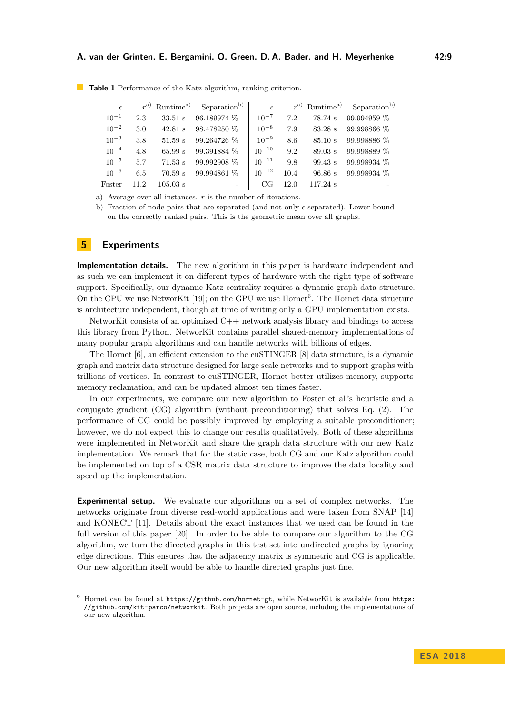| $\epsilon$ |      | $r^{a)}$ Runtime <sup>a)</sup> | Separation <sup>b)</sup> | $\epsilon$ |      | $r^{a)}$ Runtime <sup>a)</sup> | Separation <sup>b)</sup> |
|------------|------|--------------------------------|--------------------------|------------|------|--------------------------------|--------------------------|
| $10^{-1}$  | 2.3  | $33.51$ s                      | 96.189974 %              | $10^{-7}$  | 7.2  | 78.74 s                        | 99.994959 %              |
| $10^{-2}$  | 3.0  | $42.81$ s                      | 98.478250 %              | $10^{-8}$  | 7.9  | 83.28 s                        | 99.998866 %              |
| $10^{-3}$  | 3.8  | 51.59 s                        | 99.264726 %              | $10^{-9}$  | 8.6  | 85.10 s                        | 99.998886 %              |
| $10^{-4}$  | 4.8  | 65.99 s                        | 99.391884 %              | $10^{-10}$ | 9.2  | 89.03 s                        | 99.998889 %              |
| $10^{-5}$  | 5.7  | $71.53 \text{ s}$              | 99.992908 %              | $10^{-11}$ | 9.8  | 99.43 s                        | 99.998934 %              |
| $10^{-6}$  | 6.5  | $70.59$ s                      | 99.994861 %              | $10^{-12}$ | 10.4 | 96.86 s                        | 99.998934 %              |
| Foster     | 11.2 | $105.03$ s                     | $\overline{\phantom{a}}$ | CG         | 12.0 | $117.24$ s                     |                          |

<span id="page-8-2"></span>**Table 1** Performance of the Katz algorithm, ranking criterion.

a) Average over all instances. *r* is the number of iterations.

b) Fraction of node pairs that are separated (and not only  $\epsilon$ -separated). Lower bound on the correctly ranked pairs. This is the geometric mean over all graphs.

# <span id="page-8-0"></span>**5 Experiments**

**Implementation details.** The new algorithm in this paper is hardware independent and as such we can implement it on different types of hardware with the right type of software support. Specifically, our dynamic Katz centrality requires a dynamic graph data structure. On the CPU we use NetworKit [\[19\]](#page-13-6); on the GPU we use Hornet<sup>[6](#page-8-1)</sup>. The Hornet data structure is architecture independent, though at time of writing only a GPU implementation exists.

NetworKit consists of an optimized C++ network analysis library and bindings to access this library from Python. NetworKit contains parallel shared-memory implementations of many popular graph algorithms and can handle networks with billions of edges.

The Hornet [\[6\]](#page-12-10), an efficient extension to the cuSTINGER [\[8\]](#page-12-11) data structure, is a dynamic graph and matrix data structure designed for large scale networks and to support graphs with trillions of vertices. In contrast to cuSTINGER, Hornet better utilizes memory, supports memory reclamation, and can be updated almost ten times faster.

In our experiments, we compare our new algorithm to Foster et al.'s heuristic and a conjugate gradient (CG) algorithm (without preconditioning) that solves Eq. [\(2\)](#page-1-0). The performance of CG could be possibly improved by employing a suitable preconditioner; however, we do not expect this to change our results qualitatively. Both of these algorithms were implemented in NetworKit and share the graph data structure with our new Katz implementation. We remark that for the static case, both CG and our Katz algorithm could be implemented on top of a CSR matrix data structure to improve the data locality and speed up the implementation.

**Experimental setup.** We evaluate our algorithms on a set of complex networks. The networks originate from diverse real-world applications and were taken from SNAP [\[14\]](#page-12-12) and KONECT [\[11\]](#page-12-13). Details about the exact instances that we used can be found in the full version of this paper [\[20\]](#page-13-0). In order to be able to compare our algorithm to the CG algorithm, we turn the directed graphs in this test set into undirected graphs by ignoring edge directions. This ensures that the adjacency matrix is symmetric and CG is applicable. Our new algorithm itself would be able to handle directed graphs just fine.

<span id="page-8-1"></span> $6$  Hornet can be found at  $https://github.com/hornet-gt, while Networkit is available from <https://github.com/hornet-gt>, while Networkit is available from <https://github.com/hornet-gt>, while Networkit is available from <https://github.com/hornet-gt>, while Networkit is available from <https://github.com/hornet-gt>, while Networkit is available from <https://www.hornet-gt>, while Networkit is available from [https://www.hornet](https://www.hornet-gt)$  $https://github.com/hornet-gt, while Networkit is available from <https://github.com/hornet-gt>, while Networkit is available from <https://github.com/hornet-gt>, while Networkit is available from <https://github.com/hornet-gt>, while Networkit is available from <https://github.com/hornet-gt>, while Networkit is available from <https://www.hornet-gt>, while Networkit is available from [https://www.hornet](https://www.hornet-gt)$  $https://github.com/hornet-gt, while Networkit is available from <https://github.com/hornet-gt>, while Networkit is available from <https://github.com/hornet-gt>, while Networkit is available from <https://github.com/hornet-gt>, while Networkit is available from <https://github.com/hornet-gt>, while Networkit is available from <https://www.hornet-gt>, while Networkit is available from [https://www.hornet](https://www.hornet-gt)$  $https://github.com/hornet-gt, while Networkit is available from <https://github.com/hornet-gt>, while Networkit is available from <https://github.com/hornet-gt>, while Networkit is available from <https://github.com/hornet-gt>, while Networkit is available from <https://github.com/hornet-gt>, while Networkit is available from <https://www.hornet-gt>, while Networkit is available from [https://www.hornet](https://www.hornet-gt)$ [//github.com/kit-parco/networkit](https://github.com/kit-parco/networkit). Both projects are open source, including the implementations of our new algorithm.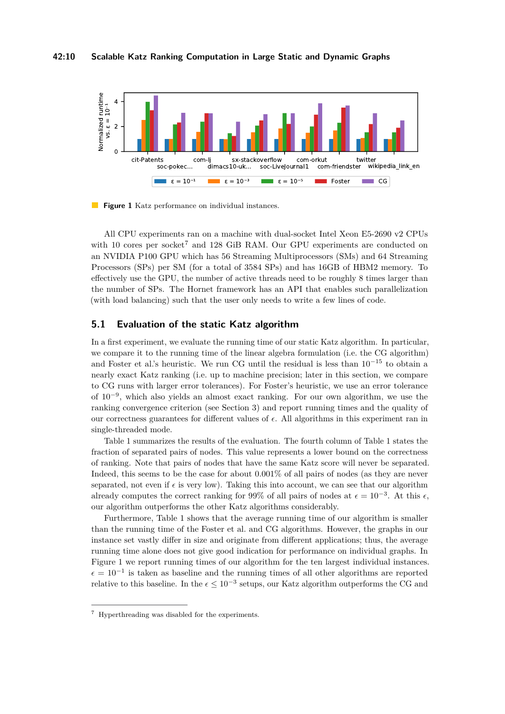#### **42:10 Scalable Katz Ranking Computation in Large Static and Dynamic Graphs**

<span id="page-9-1"></span>

**Figure 1** Katz performance on individual instances.

All CPU experiments ran on a machine with dual-socket Intel Xeon E5-2690 v2 CPUs with 10 cores per socket<sup>[7](#page-9-0)</sup> and 128 GiB RAM. Our GPU experiments are conducted on an NVIDIA P100 GPU which has 56 Streaming Multiprocessors (SMs) and 64 Streaming Processors (SPs) per SM (for a total of 3584 SPs) and has 16GB of HBM2 memory. To effectively use the GPU, the number of active threads need to be roughly 8 times larger than the number of SPs. The Hornet framework has an API that enables such parallelization (with load balancing) such that the user only needs to write a few lines of code.

# **5.1 Evaluation of the static Katz algorithm**

In a first experiment, we evaluate the running time of our static Katz algorithm. In particular, we compare it to the running time of the linear algebra formulation (i.e. the CG algorithm) and Foster et al.'s heuristic. We run CG until the residual is less than  $10^{-15}$  to obtain a nearly exact Katz ranking (i.e. up to machine precision; later in this section, we compare to CG runs with larger error tolerances). For Foster's heuristic, we use an error tolerance of 10<sup>−</sup><sup>9</sup> , which also yields an almost exact ranking. For our own algorithm, we use the ranking convergence criterion (see Section [3\)](#page-3-0) and report running times and the quality of our correctness guarantees for different values of  $\epsilon$ . All algorithms in this experiment ran in single-threaded mode.

Table [1](#page-8-2) summarizes the results of the evaluation. The fourth column of Table [1](#page-8-2) states the fraction of separated pairs of nodes. This value represents a lower bound on the correctness of ranking. Note that pairs of nodes that have the same Katz score will never be separated. Indeed, this seems to be the case for about 0.001% of all pairs of nodes (as they are never separated, not even if  $\epsilon$  is very low). Taking this into account, we can see that our algorithm already computes the correct ranking for 99% of all pairs of nodes at  $\epsilon = 10^{-3}$ . At this  $\epsilon$ , our algorithm outperforms the other Katz algorithms considerably.

Furthermore, Table [1](#page-8-2) shows that the average running time of our algorithm is smaller than the running time of the Foster et al. and CG algorithms. However, the graphs in our instance set vastly differ in size and originate from different applications; thus, the average running time alone does not give good indication for performance on individual graphs. In Figure [1](#page-9-1) we report running times of our algorithm for the ten largest individual instances.  $\epsilon = 10^{-1}$  is taken as baseline and the running times of all other algorithms are reported relative to this baseline. In the  $\epsilon \leq 10^{-3}$  setups, our Katz algorithm outperforms the CG and

<span id="page-9-0"></span><sup>7</sup> Hyperthreading was disabled for the experiments.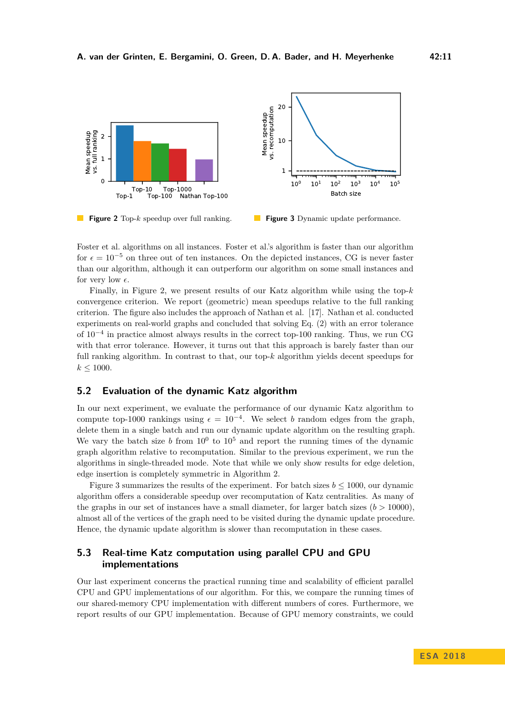<span id="page-10-0"></span>

**Figure 2** Top-*k* speedup over full ranking. **Figure 3** Dynamic update performance.

Foster et al. algorithms on all instances. Foster et al.'s algorithm is faster than our algorithm for  $\epsilon = 10^{-5}$  on three out of ten instances. On the depicted instances, CG is never faster than our algorithm, although it can outperform our algorithm on some small instances and for very low  $\epsilon$ .

Finally, in Figure [2,](#page-10-0) we present results of our Katz algorithm while using the top-*k* convergence criterion. We report (geometric) mean speedups relative to the full ranking criterion. The figure also includes the approach of Nathan et al. [\[17\]](#page-13-2). Nathan et al. conducted experiments on real-world graphs and concluded that solving Eq. [\(2\)](#page-1-0) with an error tolerance of 10<sup>−</sup><sup>4</sup> in practice almost always results in the correct top-100 ranking. Thus, we run CG with that error tolerance. However, it turns out that this approach is barely faster than our full ranking algorithm. In contrast to that, our top-*k* algorithm yields decent speedups for  $k \leq 1000$ .

### **5.2 Evaluation of the dynamic Katz algorithm**

In our next experiment, we evaluate the performance of our dynamic Katz algorithm to compute top-1000 rankings using  $\epsilon = 10^{-4}$ . We select *b* random edges from the graph, delete them in a single batch and run our dynamic update algorithm on the resulting graph. We vary the batch size  $b$  from  $10^0$  to  $10^5$  and report the running times of the dynamic graph algorithm relative to recomputation. Similar to the previous experiment, we run the algorithms in single-threaded mode. Note that while we only show results for edge deletion, edge insertion is completely symmetric in Algorithm [2.](#page-7-0)

Figure [3](#page-10-0) summarizes the results of the experiment. For batch sizes  $b \le 1000$ , our dynamic algorithm offers a considerable speedup over recomputation of Katz centralities. As many of the graphs in our set of instances have a small diameter, for larger batch sizes  $(b > 10000)$ , almost all of the vertices of the graph need to be visited during the dynamic update procedure. Hence, the dynamic update algorithm is slower than recomputation in these cases.

# **5.3 Real-time Katz computation using parallel CPU and GPU implementations**

Our last experiment concerns the practical running time and scalability of efficient parallel CPU and GPU implementations of our algorithm. For this, we compare the running times of our shared-memory CPU implementation with different numbers of cores. Furthermore, we report results of our GPU implementation. Because of GPU memory constraints, we could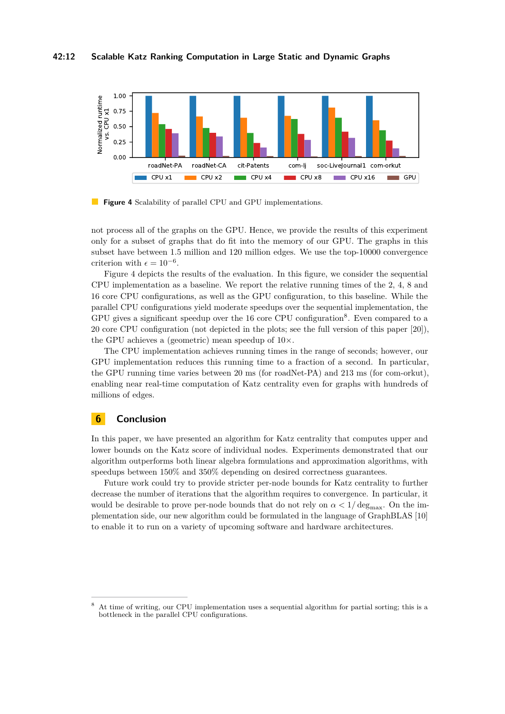### **42:12 Scalable Katz Ranking Computation in Large Static and Dynamic Graphs**

<span id="page-11-0"></span>

**Figure 4** Scalability of parallel CPU and GPU implementations.

not process all of the graphs on the GPU. Hence, we provide the results of this experiment only for a subset of graphs that do fit into the memory of our GPU. The graphs in this subset have between 1.5 million and 120 million edges. We use the top-10000 convergence criterion with  $\epsilon = 10^{-6}$ .

Figure [4](#page-11-0) depicts the results of the evaluation. In this figure, we consider the sequential CPU implementation as a baseline. We report the relative running times of the 2, 4, 8 and 16 core CPU configurations, as well as the GPU configuration, to this baseline. While the parallel CPU configurations yield moderate speedups over the sequential implementation, the GPU gives a significant speedup over the 16 core CPU configuration<sup>[8](#page-11-1)</sup>. Even compared to a 20 core CPU configuration (not depicted in the plots; see the full version of this paper [\[20\]](#page-13-0)), the GPU achieves a (geometric) mean speedup of  $10\times$ .

The CPU implementation achieves running times in the range of seconds; however, our GPU implementation reduces this running time to a fraction of a second. In particular, the GPU running time varies between 20 ms (for roadNet-PA) and 213 ms (for com-orkut), enabling near real-time computation of Katz centrality even for graphs with hundreds of millions of edges.

# **6 Conclusion**

In this paper, we have presented an algorithm for Katz centrality that computes upper and lower bounds on the Katz score of individual nodes. Experiments demonstrated that our algorithm outperforms both linear algebra formulations and approximation algorithms, with speedups between 150% and 350% depending on desired correctness guarantees.

Future work could try to provide stricter per-node bounds for Katz centrality to further decrease the number of iterations that the algorithm requires to convergence. In particular, it would be desirable to prove per-node bounds that do not rely on  $\alpha < 1/\deg_{\max}$ . On the implementation side, our new algorithm could be formulated in the language of GraphBLAS [\[10\]](#page-12-14) to enable it to run on a variety of upcoming software and hardware architectures.

<span id="page-11-1"></span><sup>8</sup> At time of writing, our CPU implementation uses a sequential algorithm for partial sorting; this is a bottleneck in the parallel CPU configurations.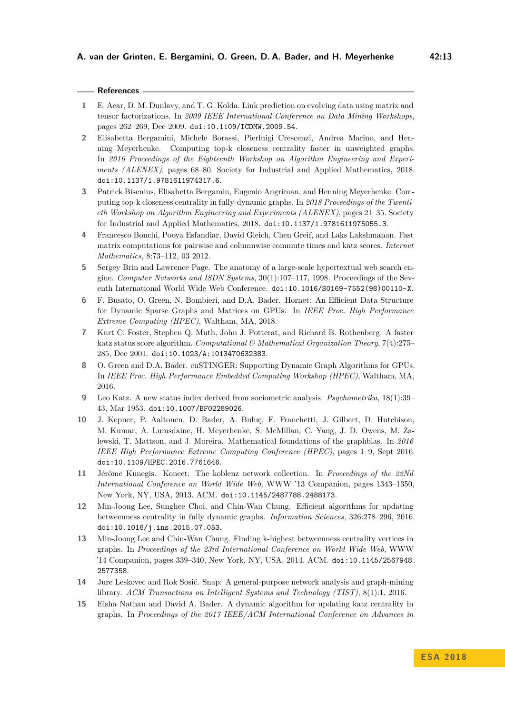# **References**

- <span id="page-12-8"></span>**1** E. Acar, D. M. Dunlavy, and T. G. Kolda. Link prediction on evolving data using matrix and tensor factorizations. In *2009 IEEE International Conference on Data Mining Workshops*, pages 262–269, Dec 2009. [doi:10.1109/ICDMW.2009.54](http://dx.doi.org/10.1109/ICDMW.2009.54).
- <span id="page-12-2"></span>**2** Elisabetta Bergamini, Michele Borassi, Pierluigi Crescenzi, Andrea Marino, and Henning Meyerhenke. Computing top-k closeness centrality faster in unweighted graphs. In *2016 Proceedings of the Eighteenth Workshop on Algorithm Engineering and Experiments (ALENEX)*, pages 68–80. Society for Industrial and Applied Mathematics, 2018. [doi:10.1137/1.9781611974317.6](http://dx.doi.org/10.1137/1.9781611974317.6).
- <span id="page-12-4"></span>**3** Patrick Bisenius, Elisabetta Bergamin, Eugenio Angriman, and Henning Meyerhenke. Computing top-k closeness centrality in fully-dynamic graphs. In *2018 Proceedings of the Twentieth Workshop on Algorithm Engineering and Experiments (ALENEX)*, pages 21–35. Society for Industrial and Applied Mathematics, 2018. [doi:10.1137/1.9781611975055.3](http://dx.doi.org/10.1137/1.9781611975055.3).
- <span id="page-12-9"></span>**4** Francesco Bonchi, Pooya Esfandiar, David Gleich, Chen Greif, and Laks Lakshmanan. Fast matrix computations for pairwise and columnwise commute times and katz scores. *Internet Mathematics*, 8:73–112, 03 2012.
- <span id="page-12-7"></span>**5** Sergey Brin and Lawrence Page. The anatomy of a large-scale hypertextual web search engine. *Computer Networks and ISDN Systems*, 30(1):107–117, 1998. Proceedings of the Seventh International World Wide Web Conference. [doi:10.1016/S0169-7552\(98\)00110-X](http://dx.doi.org/10.1016/S0169-7552(98)00110-X).
- <span id="page-12-10"></span>**6** F. Busato, O. Green, N. Bombieri, and D.A. Bader. Hornet: An Efficient Data Structure for Dynamic Sparse Graphs and Matrices on GPUs. In *IEEE Proc. High Performance Extreme Computing (HPEC)*, Waltham, MA, 2018.
- <span id="page-12-1"></span>**7** Kurt C. Foster, Stephen Q. Muth, John J. Potterat, and Richard B. Rothenberg. A faster katz status score algorithm. *Computational & Mathematical Organization Theory*, 7(4):275– 285, Dec 2001. [doi:10.1023/A:1013470632383](http://dx.doi.org/10.1023/A:1013470632383).
- <span id="page-12-11"></span>**8** O. Green and D.A. Bader. cuSTINGER: Supporting Dynamic Graph Algorithms for GPUs. In *IEEE Proc. High Performance Embedded Computing Workshop (HPEC)*, Waltham, MA, 2016.
- <span id="page-12-0"></span>**9** Leo Katz. A new status index derived from sociometric analysis. *Psychometrika*, 18(1):39– 43, Mar 1953. [doi:10.1007/BF02289026](http://dx.doi.org/10.1007/BF02289026).
- <span id="page-12-14"></span>**10** J. Kepner, P. Aaltonen, D. Bader, A. Buluç, F. Franchetti, J. Gilbert, D. Hutchison, M. Kumar, A. Lumsdaine, H. Meyerhenke, S. McMillan, C. Yang, J. D. Owens, M. Zalewski, T. Mattson, and J. Moreira. Mathematical foundations of the graphblas. In *2016 IEEE High Performance Extreme Computing Conference (HPEC)*, pages 1–9, Sept 2016. [doi:10.1109/HPEC.2016.7761646](http://dx.doi.org/10.1109/HPEC.2016.7761646).
- <span id="page-12-13"></span>**11** Jérôme Kunegis. Konect: The koblenz network collection. In *Proceedings of the 22Nd International Conference on World Wide Web*, WWW '13 Companion, pages 1343–1350, New York, NY, USA, 2013. ACM. [doi:10.1145/2487788.2488173](http://dx.doi.org/10.1145/2487788.2488173).
- <span id="page-12-5"></span>**12** Min-Joong Lee, Sunghee Choi, and Chin-Wan Chung. Efficient algorithms for updating betweenness centrality in fully dynamic graphs. *Information Sciences*, 326:278–296, 2016. [doi:10.1016/j.ins.2015.07.053](http://dx.doi.org/10.1016/j.ins.2015.07.053).
- <span id="page-12-3"></span>**13** Min-Joong Lee and Chin-Wan Chung. Finding k-highest betweenness centrality vertices in graphs. In *Proceedings of the 23rd International Conference on World Wide Web*, WWW '14 Companion, pages 339–340, New York, NY, USA, 2014. ACM. [doi:10.1145/2567948.](http://dx.doi.org/10.1145/2567948.2577358) [2577358](http://dx.doi.org/10.1145/2567948.2577358).
- <span id="page-12-12"></span>**14** Jure Leskovec and Rok Sosič. Snap: A general-purpose network analysis and graph-mining library. *ACM Transactions on Intelligent Systems and Technology (TIST)*, 8(1):1, 2016.
- <span id="page-12-6"></span>**15** Eisha Nathan and David A. Bader. A dynamic algorithm for updating katz centrality in graphs. In *Proceedings of the 2017 IEEE/ACM International Conference on Advances in*